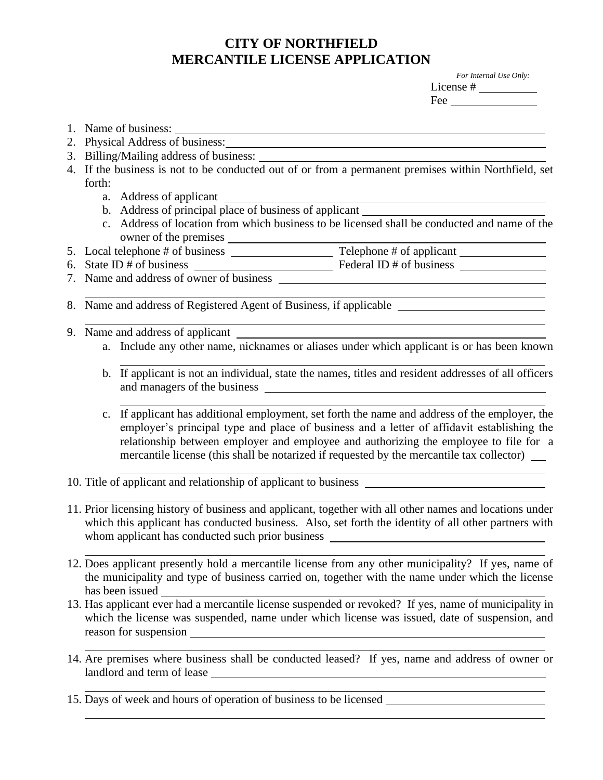## **CITY OF NORTHFIELD MERCANTILE LICENSE APPLICATION**

1. Name of business:

2. Physical Address of business:

| For Internal Use Only: |
|------------------------|
| License#               |
| Fee                    |

|  | 3. Billing/Mailing address of business:<br>4. If the business is not to be conducted out of or from a permanent premises within Northfield, set |                                                                                                                                |                                                                                                                                                                                                                                                                                                                                                                                       |  |  |  |
|--|-------------------------------------------------------------------------------------------------------------------------------------------------|--------------------------------------------------------------------------------------------------------------------------------|---------------------------------------------------------------------------------------------------------------------------------------------------------------------------------------------------------------------------------------------------------------------------------------------------------------------------------------------------------------------------------------|--|--|--|
|  | forth:                                                                                                                                          |                                                                                                                                |                                                                                                                                                                                                                                                                                                                                                                                       |  |  |  |
|  |                                                                                                                                                 |                                                                                                                                |                                                                                                                                                                                                                                                                                                                                                                                       |  |  |  |
|  |                                                                                                                                                 |                                                                                                                                |                                                                                                                                                                                                                                                                                                                                                                                       |  |  |  |
|  | c. Address of location from which business to be licensed shall be conducted and name of the                                                    |                                                                                                                                |                                                                                                                                                                                                                                                                                                                                                                                       |  |  |  |
|  |                                                                                                                                                 |                                                                                                                                |                                                                                                                                                                                                                                                                                                                                                                                       |  |  |  |
|  |                                                                                                                                                 |                                                                                                                                | 6. State ID # of business $\frac{ }{ }$ Federal ID # of business $\frac{ }{ }$                                                                                                                                                                                                                                                                                                        |  |  |  |
|  |                                                                                                                                                 |                                                                                                                                |                                                                                                                                                                                                                                                                                                                                                                                       |  |  |  |
|  | 8. Name and address of Registered Agent of Business, if applicable _________________________________                                            |                                                                                                                                |                                                                                                                                                                                                                                                                                                                                                                                       |  |  |  |
|  |                                                                                                                                                 |                                                                                                                                |                                                                                                                                                                                                                                                                                                                                                                                       |  |  |  |
|  |                                                                                                                                                 | 9. Name and address of applicant<br>a. Include any other name, nicknames or aliases under which applicant is or has been known |                                                                                                                                                                                                                                                                                                                                                                                       |  |  |  |
|  |                                                                                                                                                 |                                                                                                                                | b. If applicant is not an individual, state the names, titles and resident addresses of all officers                                                                                                                                                                                                                                                                                  |  |  |  |
|  |                                                                                                                                                 |                                                                                                                                | c. If applicant has additional employment, set forth the name and address of the employer, the<br>employer's principal type and place of business and a letter of affidavit establishing the<br>relationship between employer and employee and authorizing the employee to file for a<br>mercantile license (this shall be notarized if requested by the mercantile tax collector) __ |  |  |  |
|  |                                                                                                                                                 |                                                                                                                                | 10. Title of applicant and relationship of applicant to business ________________<br>11. Prior licensing history of business and applicant, together with all other names and locations under                                                                                                                                                                                         |  |  |  |
|  |                                                                                                                                                 |                                                                                                                                |                                                                                                                                                                                                                                                                                                                                                                                       |  |  |  |

- which this applicant has conducted business. Also, set forth the identity of all other partners with whom applicant has conducted such prior business
- 12. Does applicant presently hold a mercantile license from any other municipality? If yes, name of the municipality and type of business carried on, together with the name under which the license has been issued
- 13. Has applicant ever had a mercantile license suspended or revoked? If yes, name of municipality in which the license was suspended, name under which license was issued, date of suspension, and reason for suspension
- 14. Are premises where business shall be conducted leased? If yes, name and address of owner or landlord and term of lease
- 15. Days of week and hours of operation of business to be licensed